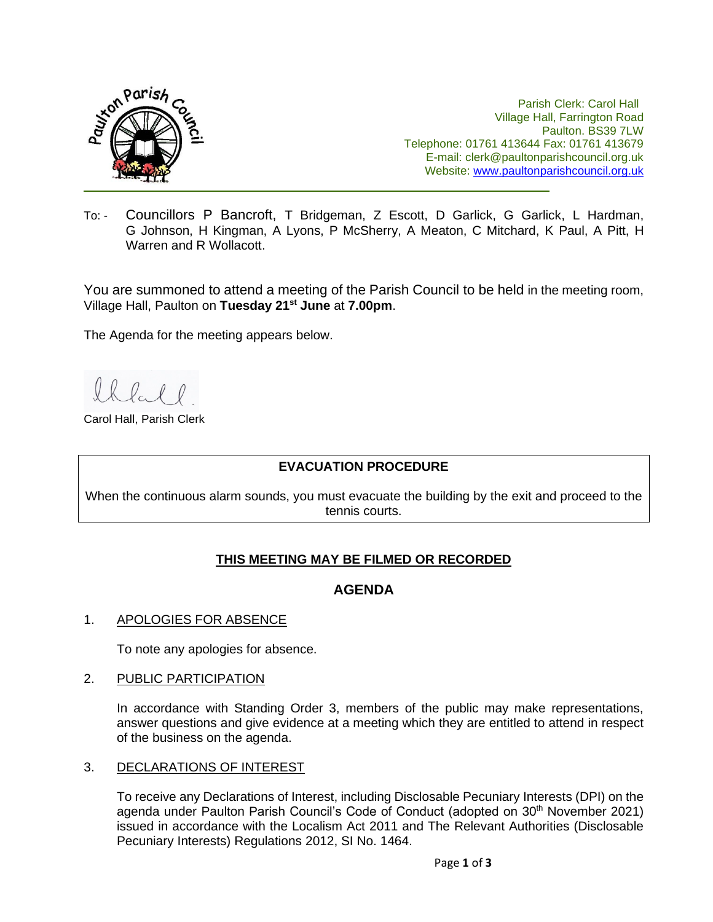

Parish Clerk: Carol Hall Village Hall, Farrington Road Paulton. BS39 7LW Telephone: 01761 413644 Fax: 01761 413679 E-mail: clerk@paultonparishcouncil.org.uk Website: [www.paultonparishcouncil.org.uk](http://www.paultonparishcouncil.org.uk/)

To: - Councillors P Bancroft, T Bridgeman, Z Escott, D Garlick, G Garlick, L Hardman, G Johnson, H Kingman, A Lyons, P McSherry, A Meaton, C Mitchard, K Paul, A Pitt, H Warren and R Wollacott.

You are summoned to attend a meeting of the Parish Council to be held in the meeting room, Village Hall, Paulton on **Tuesday 21st June** at **7.00pm**.

The Agenda for the meeting appears below.

Carol Hall, Parish Clerk

#### **EVACUATION PROCEDURE**

When the continuous alarm sounds, you must evacuate the building by the exit and proceed to the tennis courts.

# **THIS MEETING MAY BE FILMED OR RECORDED**

# **AGENDA**

## 1. APOLOGIES FOR ABSENCE

To note any apologies for absence.

#### 2. PUBLIC PARTICIPATION

In accordance with Standing Order 3, members of the public may make representations, answer questions and give evidence at a meeting which they are entitled to attend in respect of the business on the agenda.

#### 3. DECLARATIONS OF INTEREST

To receive any Declarations of Interest, including Disclosable Pecuniary Interests (DPI) on the agenda under Paulton Parish Council's Code of Conduct (adopted on 30<sup>th</sup> November 2021) issued in accordance with the Localism Act 2011 and The Relevant Authorities (Disclosable Pecuniary Interests) Regulations 2012, SI No. 1464.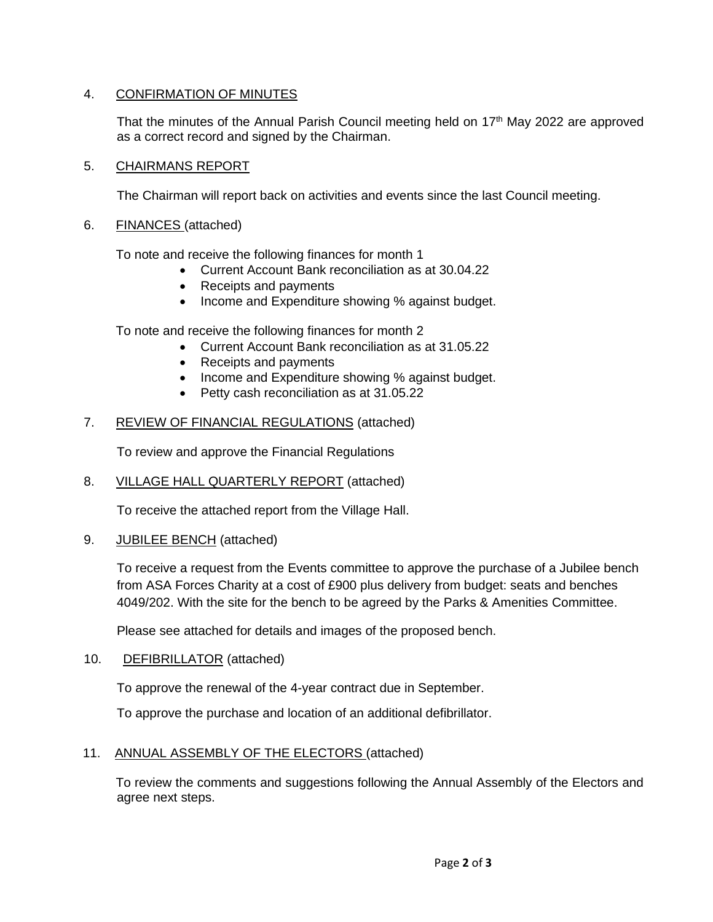# 4. CONFIRMATION OF MINUTES

That the minutes of the Annual Parish Council meeting held on  $17<sup>th</sup>$  May 2022 are approved as a correct record and signed by the Chairman.

# 5. CHAIRMANS REPORT

The Chairman will report back on activities and events since the last Council meeting.

# 6. FINANCES (attached)

To note and receive the following finances for month 1

- Current Account Bank reconciliation as at 30.04.22
- Receipts and payments
- Income and Expenditure showing % against budget.

To note and receive the following finances for month 2

- Current Account Bank reconciliation as at 31.05.22
- Receipts and payments
- Income and Expenditure showing % against budget.
- Petty cash reconciliation as at 31.05.22

## 7. REVIEW OF FINANCIAL REGULATIONS (attached)

To review and approve the Financial Regulations

8. VILLAGE HALL QUARTERLY REPORT (attached)

To receive the attached report from the Village Hall.

9. JUBILEE BENCH (attached)

To receive a request from the Events committee to approve the purchase of a Jubilee bench from ASA Forces Charity at a cost of £900 plus delivery from budget: seats and benches 4049/202. With the site for the bench to be agreed by the Parks & Amenities Committee.

Please see attached for details and images of the proposed bench.

10. DEFIBRILLATOR (attached)

To approve the renewal of the 4-year contract due in September.

To approve the purchase and location of an additional defibrillator.

## 11. ANNUAL ASSEMBLY OF THE ELECTORS (attached)

 To review the comments and suggestions following the Annual Assembly of the Electors and agree next steps.